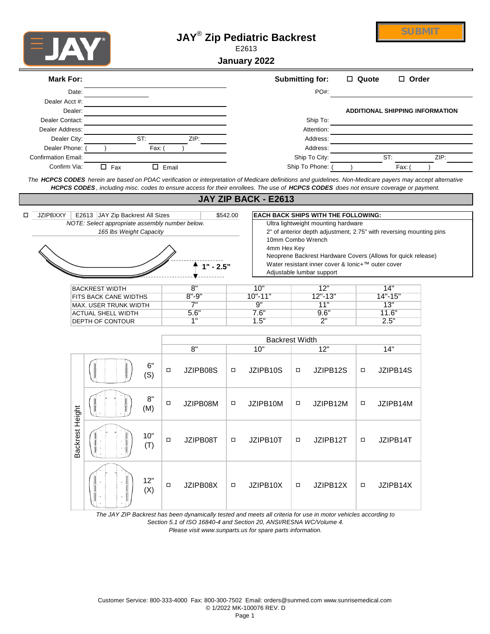|                                             |                 |                                                                                                                                                                                                                                                                                                    |                 |                 |          | January 2022                                                       |        |                                                                                   |         |                                                                     |      |
|---------------------------------------------|-----------------|----------------------------------------------------------------------------------------------------------------------------------------------------------------------------------------------------------------------------------------------------------------------------------------------------|-----------------|-----------------|----------|--------------------------------------------------------------------|--------|-----------------------------------------------------------------------------------|---------|---------------------------------------------------------------------|------|
| <b>Mark For:</b>                            |                 |                                                                                                                                                                                                                                                                                                    |                 |                 |          |                                                                    |        | <b>Submitting for:</b>                                                            | □ Quote | □ Order                                                             |      |
|                                             | Date:           |                                                                                                                                                                                                                                                                                                    |                 |                 |          |                                                                    |        | PO#:                                                                              |         |                                                                     |      |
| Dealer Acct #:                              | Dealer:         |                                                                                                                                                                                                                                                                                                    |                 |                 |          |                                                                    |        |                                                                                   |         | <b>ADDITIONAL SHIPPING INFORMATION</b>                              |      |
| Dealer Contact:                             |                 |                                                                                                                                                                                                                                                                                                    |                 |                 |          |                                                                    |        | Ship To:                                                                          |         |                                                                     |      |
| Dealer Address:                             |                 |                                                                                                                                                                                                                                                                                                    |                 |                 |          |                                                                    |        | Attention:                                                                        |         |                                                                     |      |
| Dealer City:                                |                 | ST:                                                                                                                                                                                                                                                                                                |                 | ZIP:            |          |                                                                    |        | Address:                                                                          |         |                                                                     |      |
| Dealer Phone:<br><b>Confirmation Email:</b> |                 | Fax:                                                                                                                                                                                                                                                                                               |                 |                 |          |                                                                    |        | Address:<br>Ship To City:                                                         |         | ST:                                                                 | ZIP: |
| Confirm Via:                                |                 | $\Box$ Fax                                                                                                                                                                                                                                                                                         | $\square$ Email |                 |          |                                                                    |        | Ship To Phone:                                                                    |         | Fax: (                                                              |      |
|                                             |                 | The HCPCS CODES herein are based on PDAC verification or interpretation of Medicare definitions and guidelines. Non-Medicare payers may accept alternative<br>HCPCS CODES, including misc. codes to ensure access for their enrollees. The use of HCPCS CODES does not ensure coverage or payment. |                 |                 |          |                                                                    |        |                                                                                   |         |                                                                     |      |
|                                             |                 |                                                                                                                                                                                                                                                                                                    |                 |                 |          | JAY ZIP BACK - E2613                                               |        |                                                                                   |         |                                                                     |      |
| <b>JZIPBXXY</b>                             |                 | E2613 JAY Zip Backrest All Sizes<br>NOTE: Select appropriate assembly number below.                                                                                                                                                                                                                |                 |                 | \$542.00 |                                                                    |        | <b>EACH BACK SHIPS WITH THE FOLLOWING:</b><br>Ultra lightweight mounting hardware |         |                                                                     |      |
|                                             |                 | 165 lbs Weight Capacity                                                                                                                                                                                                                                                                            |                 |                 |          |                                                                    |        |                                                                                   |         | 2" of anterior depth adjustment, 2.75" with reversing mounting pins |      |
|                                             |                 |                                                                                                                                                                                                                                                                                                    |                 |                 |          | 10mm Combo Wrench                                                  |        |                                                                                   |         |                                                                     |      |
|                                             |                 |                                                                                                                                                                                                                                                                                                    |                 |                 |          | 4mm Hex Key                                                        |        |                                                                                   |         | Neoprene Backrest Hardware Covers (Allows for quick release)        |      |
|                                             |                 |                                                                                                                                                                                                                                                                                                    |                 | $" - 2.5"$      |          |                                                                    |        | Water resistant inner cover & lonic+™ outer cover                                 |         |                                                                     |      |
|                                             |                 |                                                                                                                                                                                                                                                                                                    |                 |                 |          |                                                                    |        | Adjustable lumbar support                                                         |         |                                                                     |      |
|                                             |                 | <b>BACKREST WIDTH</b>                                                                                                                                                                                                                                                                              |                 | 8"              |          | 10"                                                                |        | 12"                                                                               |         | 14"                                                                 |      |
|                                             |                 | FITS BACK CANE WIDTHS                                                                                                                                                                                                                                                                              |                 | $8" - 9"$<br>7" |          | $10" - 11"$<br>9"                                                  |        | $12" - 13"$<br>11"                                                                |         | $14" - 15"$<br>13"                                                  |      |
|                                             |                 | MAX. USER TRUNK WIDTH<br><b>ACTUAL SHELL WIDTH</b>                                                                                                                                                                                                                                                 |                 | 5.6"            |          | 7.6"                                                               |        | 9.6"                                                                              |         | 11.6"                                                               |      |
|                                             |                 | DEPTH OF CONTOUR                                                                                                                                                                                                                                                                                   |                 | 1"              |          | 1.5"                                                               |        | 2"                                                                                |         | 2.5"                                                                |      |
|                                             |                 |                                                                                                                                                                                                                                                                                                    |                 |                 |          | <b>Backrest Width</b>                                              |        |                                                                                   |         |                                                                     |      |
|                                             |                 |                                                                                                                                                                                                                                                                                                    |                 | 8"              |          | 10"                                                                |        | 12"                                                                               |         | 14"                                                                 |      |
|                                             |                 | 6"<br>(S)                                                                                                                                                                                                                                                                                          | □               | JZIPB08S        | $\Box$   | JZIPB10S                                                           | ο      | JZIPB12S                                                                          | ο       | JZIPB14S                                                            |      |
|                                             |                 | 8"<br>(M)                                                                                                                                                                                                                                                                                          | ο               | JZIPB08M        | $\Box$   | JZIPB10M                                                           | $\Box$ | JZIPB12M                                                                          | $\Box$  | JZIPB14M                                                            |      |
|                                             | Backrest Height | 10"<br>(T)                                                                                                                                                                                                                                                                                         | $\Box$          | JZIPB08T        | $\Box$   | JZIPB10T                                                           | $\Box$ | JZIPB12T                                                                          | $\Box$  | JZIPB14T                                                            |      |
|                                             |                 | 12"<br>(X)                                                                                                                                                                                                                                                                                         | $\Box$          | JZIPB08X        | $\Box$   | JZIPB10X                                                           | о      | JZIPB12X                                                                          | $\Box$  | JZIPB14X                                                            |      |
|                                             |                 | The JAY ZIP Backrest has been dynamically tested and meets all criteria for use in motor vehicles according to                                                                                                                                                                                     |                 |                 |          | Section 5.1 of ISO 16840-4 and Section 20, ANSI/RESNA WC/Volume 4. |        |                                                                                   |         |                                                                     |      |
|                                             |                 |                                                                                                                                                                                                                                                                                                    |                 |                 |          | Please visit www.sunparts.us for spare parts information.          |        |                                                                                   |         |                                                                     |      |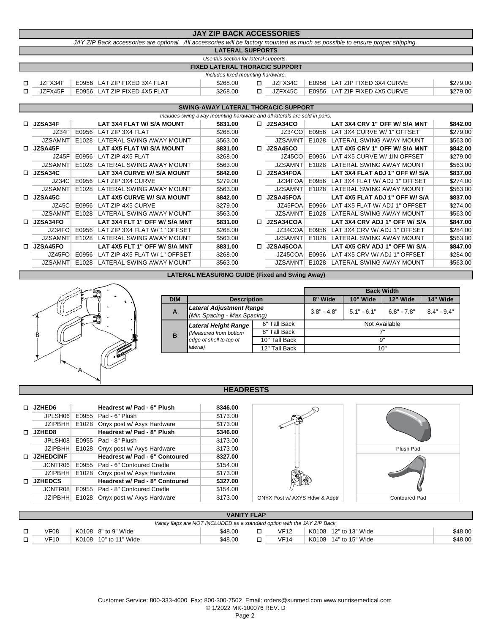| <b>JAY ZIP BACK ACCESSORIES</b>                                                                                               |  |                              |  |                                       |  |         |                               |          |
|-------------------------------------------------------------------------------------------------------------------------------|--|------------------------------|--|---------------------------------------|--|---------|-------------------------------|----------|
| JAY ZIP Back accessories are optional. All accessories will be factory mounted as much as possible to ensure proper shipping. |  |                              |  |                                       |  |         |                               |          |
| <b>LATERAL SUPPORTS</b>                                                                                                       |  |                              |  |                                       |  |         |                               |          |
| Use this section for lateral supports.                                                                                        |  |                              |  |                                       |  |         |                               |          |
|                                                                                                                               |  |                              |  | <b>FIXED LATERAL THORACIC SUPPORT</b> |  |         |                               |          |
|                                                                                                                               |  |                              |  | Includes fixed mounting hardware.     |  |         |                               |          |
| JZFX34F                                                                                                                       |  | E0956 LAT ZIP FIXED 3X4 FLAT |  | \$268.00                              |  | JZFX34C | E0956 LAT ZIP FIXED 3X4 CURVE | \$279.00 |
| JZFX45F                                                                                                                       |  | E0956 LAT ZIP FIXED 4X5 FLAT |  | \$268.00                              |  | JZFX45C | E0956 LAT ZIP FIXED 4X5 CURVE | \$279.00 |
|                                                                                                                               |  |                              |  |                                       |  |         |                               |          |

### **SWING-AWAY LATERAL THORACIC SUPPORT**

|    | Includes swing-away mounting hardware and all laterals are sold in pairs. |       |                                   |          |    |                  |       |                                |          |
|----|---------------------------------------------------------------------------|-------|-----------------------------------|----------|----|------------------|-------|--------------------------------|----------|
|    | $\Box$ JZSA34F                                                            |       | LAT 3X4 FLAT W/ S/A MOUNT         | \$831.00 | п. | <b>JZSA34CO</b>  |       | LAT 3X4 CRV 1" OFF W/ S/A MNT  | \$842.00 |
|    | JZ34F                                                                     | E0956 | LAT ZIP 3X4 FLAT                  | \$268.00 |    | JZ34CO           | E0956 | LAT 3X4 CURVE W/ 1" OFFSET     | \$279.00 |
|    | <b>JZSAMNT</b>                                                            | E1028 | LATERAL SWING AWAY MOUNT          | \$563.00 |    | <b>JZSAMNT</b>   | E1028 | LATERAL SWING AWAY MOUNT       | \$563.00 |
| n. | JZSA45F                                                                   |       | LAT 4X5 FLAT W/ S/A MOUNT         | \$831.00 | n. | JZSA45CO         |       | LAT 4X5 CRV 1" OFF W/ S/A MNT  | \$842.00 |
|    | JZ45F                                                                     | E0956 | LAT ZIP 4X5 FLAT                  | \$268.00 |    | JZ45CO           | E0956 | LAT 4X5 CURVE W/ 1IN OFFSET    | \$279.00 |
|    | <b>JZSAMNT</b>                                                            | E1028 | LATERAL SWING AWAY MOUNT          | \$563.00 |    | <b>JZSAMNT</b>   | E1028 | LATERAL SWING AWAY MOUNT       | \$563.00 |
|    | $\Box$ JZSA34C                                                            |       | LAT 3X4 CURVE W/ S/A MOUNT        | \$842.00 | n. | <b>JZSA34FOA</b> |       | LAT 3X4 FLAT ADJ 1" OFF W/ S/A | \$837.00 |
|    | JZ34C                                                                     | E0956 | LAT ZIP 3X4 CURVE                 | \$279.00 |    | JZ34FOA          | E0956 | LAT 3X4 FLAT W/ ADJ 1" OFFSET  | \$274.00 |
|    | <b>JZSAMNT</b>                                                            | E1028 | LATERAL SWING AWAY MOUNT          | \$563.00 |    | <b>JZSAMNT</b>   | E1028 | LATERAL SWING AWAY MOUNT       | \$563.00 |
|    | $\Box$ JZSA45C                                                            |       | <b>LAT 4X5 CURVE W/ S/A MOUNT</b> | \$842.00 | n. | <b>JZSA45FOA</b> |       | LAT 4X5 FLAT ADJ 1" OFF W/ S/A | \$837.00 |
|    | JZ45C                                                                     | E0956 | LAT ZIP 4X5 CURVE                 | \$279.00 |    | JZ45FOA          | E0956 | LAT 4X5 FLAT W/ ADJ 1" OFFSET  | \$274.00 |
|    | JZSAMNT                                                                   | E1028 | ILATERAL SWING AWAY MOUNT         | \$563.00 |    | <b>JZSAMNT</b>   | E1028 | LATERAL SWING AWAY MOUNT       | \$563.00 |
|    | $\Box$ JZSA34FO                                                           |       | LAT 3X4 FLT 1" OFF W/ S/A MNT     | \$831.00 | п. | <b>JZSA34COA</b> |       | LAT 3X4 CRV ADJ 1" OFF W/ S/A  | \$847.00 |
|    | JZ34FO                                                                    | E0956 | LAT ZIP 3X4 FLAT W/ 1" OFFSET     | \$268.00 |    | JZ34COA          | E0956 | LAT 3X4 CRV W/ ADJ 1" OFFSET   | \$284.00 |
|    | <b>JZSAMNT</b>                                                            | E1028 | LATERAL SWING AWAY MOUNT          | \$563.00 |    | JZSAMNT          | E1028 | LATERAL SWING AWAY MOUNT       | \$563.00 |
|    | $\Box$ JZSA45FO                                                           |       | LAT 4X5 FLT 1" OFF W/ S/A MNT     | \$831.00 | n. | <b>JZSA45COA</b> |       | LAT 4X5 CRV ADJ 1" OFF W/ S/A  | \$847.00 |
|    | JZ45FO                                                                    | E0956 | LAT ZIP 4X5 FLAT W/ 1" OFFSET     | \$268.00 |    | JZ45COA          | E0956 | LAT 4X5 CRV W/ ADJ 1" OFFSET   | \$284.00 |
|    | JZSAMNT                                                                   | E1028 | LATERAL SWING AWAY MOUNT          | \$563.00 |    | JZSAMNT          | E1028 | LATERAL SWING AWAY MOUNT       | \$563.00 |
|    |                                                                           |       |                                   |          |    |                  |       |                                |          |

# **LATERAL MEASURING GUIDE (Fixed and Swing Away)**



|            |                                                                |               | <b>Back Width</b> |               |               |               |  |  |  |
|------------|----------------------------------------------------------------|---------------|-------------------|---------------|---------------|---------------|--|--|--|
| <b>DIM</b> | <b>Description</b>                                             | 8" Wide       | 10" Wide          | 12" Wide      | 14" Wide      |               |  |  |  |
| A          | <b>Lateral Adjustment Range</b><br>(Min Spacing - Max Spacing) |               | $3.8" - 4.8"$     | $5.1" - 6.1"$ | $6.8" - 7.8"$ | $8.4" - 9.4"$ |  |  |  |
| в          | <b>Lateral Height Range</b>                                    | 6" Tall Back  | Not Available     |               |               |               |  |  |  |
|            | (Measured from bottom                                          | 8" Tall Back  | 7"                |               |               |               |  |  |  |
|            | edge of shell to top of                                        | 10" Tall Back | 9"                |               |               |               |  |  |  |
|            | lateral)<br>12" Tall Back                                      |               | 10"               |               |               |               |  |  |  |

### **HEADRESTS**

|   | <b>JZHED6</b>    |       | Headrest w/ Pad - 6" Plush     | \$346.00 |
|---|------------------|-------|--------------------------------|----------|
|   | JPLSH06          | E0955 | Pad - 6" Plush                 | \$173.00 |
|   | JZIPBHH          | E1028 | Onyx post w/ Axys Hardware     | \$173.00 |
|   | JZHED8           |       | Headrest w/ Pad - 8" Plush     | \$346.00 |
|   | JPLSH08          | E0955 | Pad - 8" Plush                 | \$173.00 |
|   | <b>JZIPBHH</b>   | E1028 | Onyx post w/ Axys Hardware     | \$173.00 |
| п | <b>JZHEDCINF</b> |       | Headrest w/ Pad - 6" Contoured | \$327.00 |
|   | JCNTR06          | E0955 | Pad - 6" Contoured Cradle      | \$154.00 |
|   | JZIPBHH          | E1028 | Onyx post w/ Axys Hardware     | \$173.00 |
|   | <b>JZHEDCS</b>   |       | Headrest w/ Pad - 8" Contoured | \$327.00 |
|   | JCNTR08          | E0955 | Pad - 8" Contoured Cradle      | \$154.00 |
|   | <b>JZIPBHH</b>   | E1028 | Onyx post w/ Axys Hardware     | \$173.00 |
|   |                  |       |                                |          |



| <b>VANITY FLAP</b>                                                        |  |                        |         |  |             |  |                       |         |
|---------------------------------------------------------------------------|--|------------------------|---------|--|-------------|--|-----------------------|---------|
| Vanity flaps are NOT INCLUDED as a standard option with the JAY ZIP Back. |  |                        |         |  |             |  |                       |         |
| VF08                                                                      |  | K0108 $ 8"$ to 9" Wide | \$48.00 |  | <b>VF12</b> |  | K0108 12" to 13" Wide | \$48.00 |
| VF10                                                                      |  | K0108 10" to 11" Wide  | \$48.00 |  | <b>VF14</b> |  | K0108 14" to 15" Wide | \$48.00 |